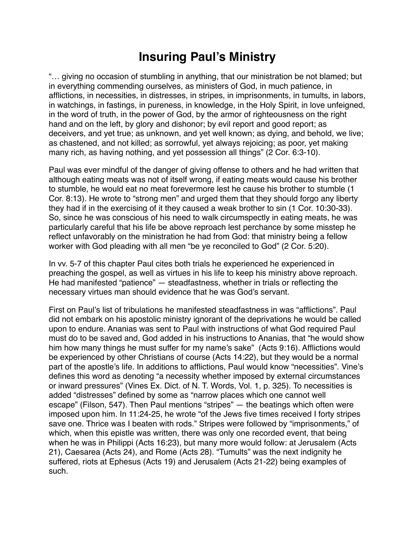## **Insuring Paul's Ministry**

"… giving no occasion of stumbling in anything, that our ministration be not blamed; but in everything commending ourselves, as ministers of God, in much patience, in afflictions, in necessities, in distresses, in stripes, in imprisonments, in tumults, in labors, in watchings, in fastings, in pureness, in knowledge, in the Holy Spirit, in love unfeigned, in the word of truth, in the power of God, by the armor of righteousness on the right hand and on the left, by glory and dishonor; by evil report and good report; as deceivers, and yet true; as unknown, and yet well known; as dying, and behold, we live; as chastened, and not killed; as sorrowful, yet always rejoicing; as poor, yet making many rich, as having nothing, and yet possession all things" (2 Cor. 6:3-10).

Paul was ever mindful of the danger of giving offense to others and he had written that although eating meats was not of itself wrong, if eating meats would cause his brother to stumble, he would eat no meat forevermore lest he cause his brother to stumble (1 Cor. 8:13). He wrote to "strong men" and urged them that they should forgo any liberty they had if in the exercising of it they caused a weak brother to sin (1 Cor. 10:30-33). So, since he was conscious of his need to walk circumspectly in eating meats, he was particularly careful that his life be above reproach lest perchance by some misstep he reflect unfavorably on the ministration he had from God: that ministry being a fellow worker with God pleading with all men "be ye reconciled to God" (2 Cor. 5:20).

In vv. 5-7 of this chapter Paul cites both trials he experienced he experienced in preaching the gospel, as well as virtues in his life to keep his ministry above reproach. He had manifested "patience" — steadfastness, whether in trials or reflecting the necessary virtues man should evidence that he was God's servant.

First on Paul's list of tribulations he manifested steadfastness in was "afflictions". Paul did not embark on his apostolic ministry ignorant of the deprivations he would be called upon to endure. Ananias was sent to Paul with instructions of what God required Paul must do to be saved and, God added in his instructions to Ananias, that "he would show him how many things he must suffer for my name's sake" (Acts 9:16). Afflictions would be experienced by other Christians of course (Acts 14:22), but they would be a normal part of the apostle's life. In additions to afflictions, Paul would know "necessities". Vine's defines this word as denoting "a necessity whether imposed by external circumstances or inward pressures" (Vines Ex. Dict. of N. T. Words, Vol. 1, p. 325). To necessities is added "distresses" defined by some as "narrow places which one cannot well escape" (Filson, 547). Then Paul mentions "stripes" — the beatings which often were imposed upon him. In 11:24-25, he wrote "of the Jews five times received I forty stripes save one. Thrice was I beaten with rods." Stripes were followed by "imprisonments," of which, when this epistle was written, there was only one recorded event, that being when he was in Philippi (Acts 16:23), but many more would follow: at Jerusalem (Acts 21), Caesarea (Acts 24), and Rome (Acts 28). "Tumults" was the next indignity he suffered, riots at Ephesus (Acts 19) and Jerusalem (Acts 21-22) being examples of such.